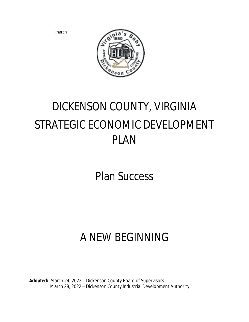march



# DICKENSON COUNTY, VIRGINIA STRATEGIC ECONOMIC DEVELOPMENT PLAN

Plan Success

## A NEW BEGINNING

**Adopted:** March 24, 2022 – Dickenson County Board of Supervisors March 28, 2022 – Dickenson County Industrial Development Authority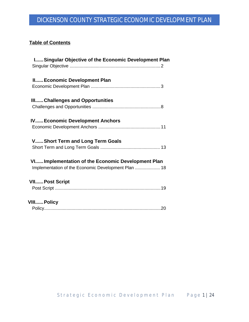#### **Table of Contents**

| I Singular Objective of the Economic Development Plan |
|-------------------------------------------------------|
| II Economic Development Plan                          |
|                                                       |
| III Challenges and Opportunities                      |
|                                                       |
| <b>IV Economic Development Anchors</b>                |
|                                                       |
| V Short Term and Long Term Goals                      |
|                                                       |
| VIImplementation of the Economic Development Plan     |
| Implementation of the Economic Development Plan  18   |
| <b>VII Post Script</b>                                |
|                                                       |
|                                                       |
| <b>VIII Policy</b>                                    |
|                                                       |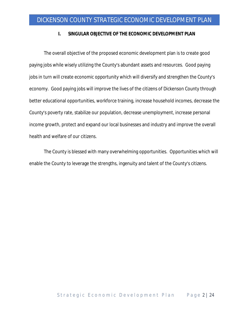#### **I. SINGULAR OBJECTIVE OF THE ECONOMIC DEVELOPMENT PLAN**

The overall objective of the proposed economic development plan is to create good paying jobs while wisely utilizing the County's abundant assets and resources. Good paying jobs in turn will create economic opportunity which will diversify and strengthen the County's economy. Good paying jobs will improve the lives of the citizens of Dickenson County through better educational opportunities, workforce training, increase household incomes, decrease the County's poverty rate, stabilize our population, decrease unemployment, increase personal income growth, protect and expand our local businesses and industry and improve the overall health and welfare of our citizens.

The County is blessed with many overwhelming opportunities. Opportunities which will enable the County to leverage the strengths, ingenuity and talent of the County's citizens.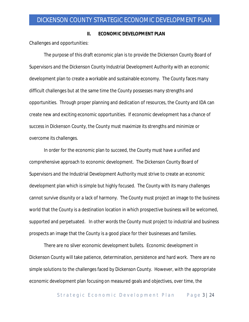#### **II. ECONOMIC DEVELOPMENT PLAN**

Challenges and opportunities:

The purpose of this draft economic plan is to provide the Dickenson County Board of Supervisors and the Dickenson County Industrial Development Authority with an economic development plan to create a workable and sustainable economy. The County faces many difficult challenges but at the same time the County possesses many strengths and opportunities. Through proper planning and dedication of resources, the County and IDA can create new and exciting economic opportunities. If economic development has a chance of success in Dickenson County, the County must maximize its strengths and minimize or overcome its challenges.

In order for the economic plan to succeed, the County must have a unified and comprehensive approach to economic development. The Dickenson County Board of Supervisors and the Industrial Development Authority must strive to create an economic development plan which is simple but highly focused. The County with its many challenges cannot survive disunity or a lack of harmony. The County must project an image to the business world that the County is a destination location in which prospective business will be welcomed, supported and perpetuated. In other words the County must project to industrial and business prospects an image that the County is a good place for their businesses and families.

There are no silver economic development bullets. Economic development in Dickenson County will take patience, determination, persistence and hard work. There are no simple solutions to the challenges faced by Dickenson County. However, with the appropriate economic development plan focusing on measured goals and objectives, over time, the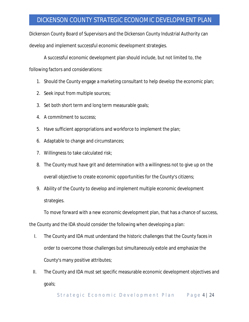Dickenson County Board of Supervisors and the Dickenson County Industrial Authority can develop and implement successful economic development strategies.

A successful economic development plan should include, but not limited to, the

following factors and considerations:

- 1. Should the County engage a marketing consultant to help develop the economic plan;
- 2. Seek input from multiple sources;
- 3. Set both short term and long term measurable goals;
- 4. A commitment to success;
- 5. Have sufficient appropriations and workforce to implement the plan;
- 6. Adaptable to change and circumstances;
- 7. Willingness to take calculated risk;
- 8. The County must have grit and determination with a willingness not to give up on the overall objective to create economic opportunities for the County's citizens;
- 9. Ability of the County to develop and implement multiple economic development strategies.

To move forward with a new economic development plan, that has a chance of success,

the County and the IDA should consider the following when developing a plan:

- I. The County and IDA must understand the historic challenges that the County faces in order to overcome those challenges but simultaneously extole and emphasize the County's many positive attributes;
- II. The County and IDA must set specific measurable economic development objectives and goals;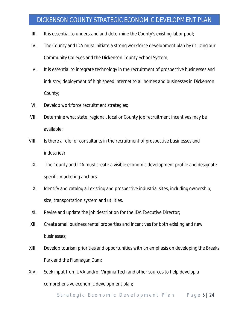- III. It is essential to understand and determine the County's existing labor pool;
- IV. The County and IDA must initiate a strong workforce development plan by utilizing our Community Colleges and the Dickenson County School System;
- V. It is essential to integrate technology in the recruitment of prospective businesses and industry; deployment of high speed internet to all homes and businesses in Dickenson County;
- VI. Develop workforce recruitment strategies;
- VII. Determine what state, regional, local or County job recruitment incentives may be available;
- VIII. Is there a role for consultants in the recruitment of prospective businesses and industries?
	- IX. The County and IDA must create a visible economic development profile and designate specific marketing anchors.
	- X. Identify and catalog all existing and prospective industrial sites, including ownership, size, transportation system and utilities.
- XI. Revise and update the job description for the IDA Executive Director;
- XII. Create small business rental properties and incentives for both existing and new businesses;
- XIII. Develop tourism priorities and opportunities with an emphasis on developing the Breaks Park and the Flannagan Dam;
- XIV. Seek input from UVA and/or Virginia Tech and other sources to help develop a comprehensive economic development plan;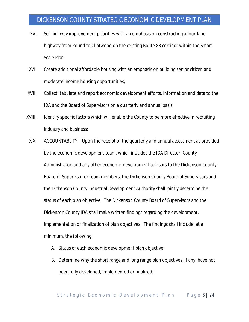- XV. Set highway improvement priorities with an emphasis on constructing a four-lane highway from Pound to Clintwood on the existing Route 83 corridor within the Smart Scale Plan;
- XVI. Create additional affordable housing with an emphasis on building senior citizen and moderate income housing opportunities;
- XVII. Collect, tabulate and report economic development efforts, information and data to the IDA and the Board of Supervisors on a quarterly and annual basis.
- XVIII. Identify specific factors which will enable the County to be more effective in recruiting industry and business;
- XIX. ACCOUNTABLITY Upon the receipt of the quarterly and annual assessment as provided by the economic development team, which includes the IDA Director, County Administrator, and any other economic development advisors to the Dickenson County Board of Supervisor or team members, the Dickenson County Board of Supervisors and the Dickenson County Industrial Development Authority shall jointly determine the status of each plan objective. The Dickenson County Board of Supervisors and the Dickenson County IDA shall make written findings regarding the development, implementation or finalization of plan objectives. The findings shall include, at a minimum, the following:
	- A. Status of each economic development plan objective;
	- B. Determine why the short range and long range plan objectives, if any, have not been fully developed, implemented or finalized;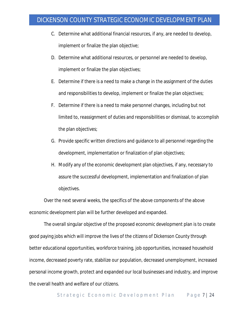- C. Determine what additional financial resources, if any, are needed to develop, implement or finalize the plan objective;
- D. Determine what additional resources, or personnel are needed to develop, implement or finalize the plan objectives;
- E. Determine if there is a need to make a change in the assignment of the duties and responsibilities to develop, implement or finalize the plan objectives;
- F. Determine if there is a need to make personnel changes, including but not limited to, reassignment of duties and responsibilities or dismissal, to accomplish the plan objectives;
- G. Provide specific written directions and guidance to all personnel regarding the development, implementation or finalization of plan objectives;
- H. Modify any of the economic development plan objectives, if any, necessary to assure the successful development, implementation and finalization of plan objectives.

Over the next several weeks, the specifics of the above components of the above economic development plan will be further developed and expanded.

The overall singular objective of the proposed economic development plan is to create good paying jobs which will improve the lives of the citizens of Dickenson County through better educational opportunities, workforce training, job opportunities, increased household income, decreased poverty rate, stabilize our population, decreased unemployment, increased personal income growth, protect and expanded our local businesses and industry, and improve the overall health and welfare of our citizens.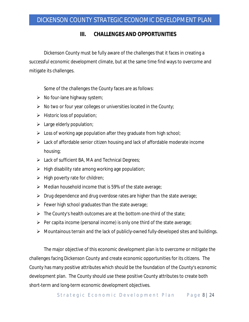#### **III. CHALLENGES AND OPPORTUNITIES**

Dickenson County must be fully aware of the challenges that it faces in creating a successful economic development climate, but at the same time find ways to overcome and mitigate its challenges.

Some of the challenges the County faces are as follows:

- $\triangleright$  No four-lane highway system;
- $\triangleright$  No two or four year colleges or universities located in the County;
- $\triangleright$  Historic loss of population;
- $\blacktriangleright$  Large elderly population;
- $\triangleright$  Loss of working age population after they graduate from high school;
- $\triangleright$  Lack of affordable senior citizen housing and lack of affordable moderate income housing;
- $\triangleright$  Lack of sufficient BA, MA and Technical Degrees;
- $\triangleright$  High disability rate among working age population;
- $\triangleright$  High poverty rate for children;
- $\triangleright$  Median household income that is 59% of the state average;
- $\triangleright$  Drug dependence and drug overdose rates are higher than the state average;
- $\triangleright$  Fewer high school graduates than the state average;
- $\triangleright$  The County's health outcomes are at the bottom one-third of the state;
- $\triangleright$  Per capita income (personal income) is only one third of the state average;
- Mountainous terrain and the lack of publicly-owned fully-developed sites and buildings.

The major objective of this economic development plan is to overcome or mitigate the challenges facing Dickenson County and create economic opportunities for its citizens. The County has many positive attributes which should be the foundation of the County's economic development plan. The County should use these positive County attributes to create both short-term and long-term economic development objectives.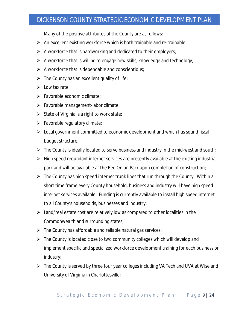Many of the positive attributes of the County are as follows:

- $\triangleright$  An excellent existing workforce which is both trainable and re-trainable;
- $\triangleright$  A workforce that is hardworking and dedicated to their employers;
- $\triangleright$  A workforce that is willing to engage new skills, knowledge and technology;
- $\triangleright$  A workforce that is dependable and conscientious;
- $\triangleright$  The County has an excellent quality of life;
- $\triangleright$  Low tax rate;
- $\triangleright$  Favorable economic climate;
- Favorable management-labor climate;
- $\triangleright$  State of Virginia is a right to work state;
- $\triangleright$  Favorable regulatory climate;
- $\triangleright$  Local government committed to economic development and which has sound fiscal budget structure;
- $\triangleright$  The County is ideally located to serve business and industry in the mid-west and south;
- $\triangleright$  High speed redundant internet services are presently available at the existing industrial park and will be available at the Red Onion Park upon completion of construction;
- $\triangleright$  The County has high speed internet trunk lines that run through the County. Within a short time frame every County household, business and industry will have high speed internet services available. Funding is currently available to install high speed internet to all County's households, businesses and industry;
- $\triangleright$  Land/real estate cost are relatively low as compared to other localities in the Commonwealth and surrounding states;
- $\triangleright$  The County has affordable and reliable natural gas services;
- $\triangleright$  The County is located close to two community colleges which will develop and implement specific and specialized workforce development training for each business or industry;
- $\triangleright$  The County is served by three four year colleges including VA Tech and UVA at Wise and University of Virginia in Charlottesville;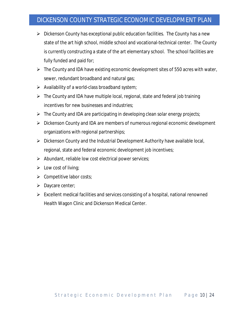- $\triangleright$  Dickenson County has exceptional public education facilities. The County has a new state of the art high school, middle school and vocational-technical center. The County is currently constructing a state of the art elementary school. The school facilities are fully funded and paid for;
- $\triangleright$  The County and IDA have existing economic development sites of 550 acres with water, sewer, redundant broadband and natural gas;
- $\triangleright$  Availability of a world-class broadband system;
- $\triangleright$  The County and IDA have multiple local, regional, state and federal job training incentives for new businesses and industries;
- $\triangleright$  The County and IDA are participating in developing clean solar energy projects;
- Dickenson County and IDA are members of numerous regional economic development organizations with regional partnerships;
- $\triangleright$  Dickenson County and the Industrial Development Authority have available local, regional, state and federal economic development job incentives;
- $\triangleright$  Abundant, reliable low cost electrical power services;
- $\triangleright$  Low cost of living;
- $\triangleright$  Competitive labor costs;
- $\triangleright$  Daycare center;
- $\triangleright$  Excellent medical facilities and services consisting of a hospital, national renowned Health Wagon Clinic and Dickenson Medical Center.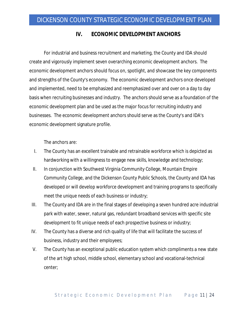#### **IV. ECONOMIC DEVELOPMENT ANCHORS**

For industrial and business recruitment and marketing, the County and IDA should create and vigorously implement seven overarching economic development anchors. The economic development anchors should focus on, spotlight, and showcase the key components and strengths of the County's economy. The economic development anchors once developed and implemented, need to be emphasized and reemphasized over and over on a day to day basis when recruiting businesses and industry. The anchors should serve as a foundation of the economic development plan and be used as the major focus for recruiting industry and businesses. The economic development anchors should serve as the County's and IDA's economic development signature profile.

The anchors are:

- I. The County has an excellent trainable and retrainable workforce which is depicted as hardworking with a willingness to engage new skills, knowledge and technology;
- II. In conjunction with Southwest Virginia Community College, Mountain Empire Community College, and the Dickenson County Public Schools, the County and IDA has developed or will develop workforce development and training programs to specifically meet the unique needs of each business or industry;
- III. The County and IDA are in the final stages of developing a seven hundred acre industrial park with water, sewer, natural gas, redundant broadband services with specific site development to fit unique needs of each prospective business or industry;
- IV. The County has a diverse and rich quality of life that will facilitate the success of business, industry and their employees;
- V. The County has an exceptional public education system which compliments a new state of the art high school, middle school, elementary school and vocational-technical center;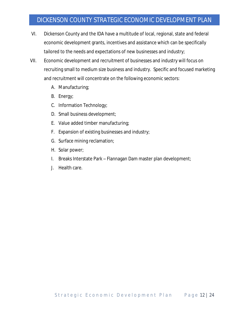- VI. Dickenson County and the IDA have a multitude of local, regional, state and federal economic development grants, incentives and assistance which can be specifically tailored to the needs and expectations of new businesses and industry;
- VII. Economic development and recruitment of businesses and industry will focus on recruiting small to medium size business and industry. Specific and focused marketing and recruitment will concentrate on the following economic sectors:
	- A. Manufacturing;
	- B. Energy;
	- C. Information Technology;
	- D. Small business development;
	- E. Value added timber manufacturing;
	- F. Expansion of existing businesses and industry;
	- G. Surface mining reclamation;
	- H. Solar power;
	- I. Breaks Interstate Park Flannagan Dam master plan development;
	- J. Health care.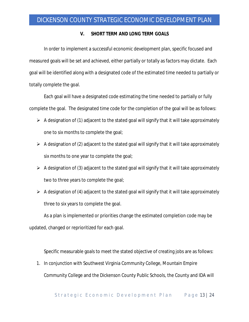#### **V. SHORT TERM AND LONG TERM GOALS**

In order to implement a successful economic development plan, specific focused and measured goals will be set and achieved, either partially or totally as factors may dictate. Each goal will be identified along with a designated code of the estimated time needed to partially or totally complete the goal.

Each goal will have a designated code estimating the time needed to partially or fully complete the goal. The designated time code for the completion of the goal will be as follows:

- $\triangleright$  A designation of (1) adjacent to the stated goal will signify that it will take approximately one to six months to complete the goal;
- $\triangleright$  A designation of (2) adjacent to the stated goal will signify that it will take approximately six months to one year to complete the goal;
- $\triangleright$  A designation of (3) adjacent to the stated goal will signify that it will take approximately two to three years to complete the goal;
- $\triangleright$  A designation of (4) adjacent to the stated goal will signify that it will take approximately three to six years to complete the goal.

As a plan is implemented or priorities change the estimated completion code may be updated, changed or reprioritized for each goal.

Specific measurable goals to meet the stated objective of creating jobs are as follows:

1. In conjunction with Southwest Virginia Community College, Mountain Empire Community College and the Dickenson County Public Schools, the County and IDA will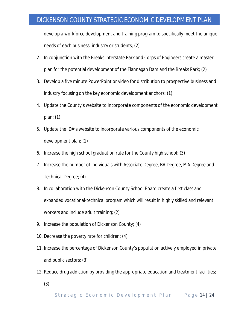develop a workforce development and training program to specifically meet the unique needs of each business, industry or students; (2)

- 2. In conjunction with the Breaks Interstate Park and Corps of Engineers create a master plan for the potential development of the Flannagan Dam and the Breaks Park; (2)
- 3. Develop a five minute PowerPoint or video for distribution to prospective business and industry focusing on the key economic development anchors; (1)
- 4. Update the County's website to incorporate components of the economic development plan; (1)
- 5. Update the IDA's website to incorporate various components of the economic development plan; (1)
- 6. Increase the high school graduation rate for the County high school; (3)
- 7. Increase the number of individuals with Associate Degree, BA Degree, MA Degree and Technical Degree; (4)
- 8. In collaboration with the Dickenson County School Board create a first class and expanded vocational-technical program which will result in highly skilled and relevant workers and include adult training; (2)
- 9. Increase the population of Dickenson County; (4)
- 10. Decrease the poverty rate for children; (4)
- 11. Increase the percentage of Dickenson County's population actively employed in private and public sectors; (3)
- 12. Reduce drug addiction by providing the appropriate education and treatment facilities;
	- (3)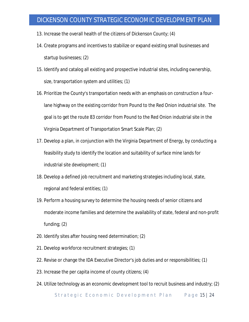- 13. Increase the overall health of the citizens of Dickenson County; (4)
- 14. Create programs and incentives to stabilize or expand existing small businesses and startup businesses; (2)
- 15. Identify and catalog all existing and prospective industrial sites, including ownership, size, transportation system and utilities; (1)
- 16. Prioritize the County's transportation needs with an emphasis on construction a fourlane highway on the existing corridor from Pound to the Red Onion industrial site. The goal is to get the route 83 corridor from Pound to the Red Onion industrial site in the Virginia Department of Transportation Smart Scale Plan; (2)
- 17. Develop a plan, in conjunction with the Virginia Department of Energy, by conducting a feasibility study to identify the location and suitability of surface mine lands for industrial site development; (1)
- 18. Develop a defined job recruitment and marketing strategies including local, state, regional and federal entities; (1)
- 19. Perform a housing survey to determine the housing needs of senior citizens and moderate income families and determine the availability of state, federal and non-profit funding; (2)
- 20. Identify sites after housing need determination; (2)
- 21. Develop workforce recruitment strategies; (1)
- 22. Revise or change the IDA Executive Director's job duties and or responsibilities; (1)
- 23. Increase the per capita income of county citizens; (4)
- 24. Utilize technology as an economic development tool to recruit business and industry; (2)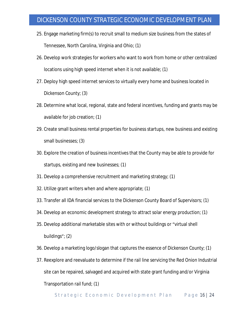- 25. Engage marketing firm(s) to recruit small to medium size business from the states of Tennessee, North Carolina, Virginia and Ohio; (1)
- 26. Develop work strategies for workers who want to work from home or other centralized locations using high speed internet when it is not available; (1)
- 27. Deploy high speed internet services to virtually every home and business located in Dickenson County; (3)
- 28. Determine what local, regional, state and federal incentives, funding and grants may be available for job creation; (1)
- 29. Create small business rental properties for business startups, new business and existing small businesses; (3)
- 30. Explore the creation of business incentives that the County may be able to provide for startups, existing and new businesses; (1)
- 31. Develop a comprehensive recruitment and marketing strategy; (1)
- 32. Utilize grant writers when and where appropriate; (1)
- 33. Transfer all IDA financial services to the Dickenson County Board of Supervisors; (1)
- 34. Develop an economic development strategy to attract solar energy production; (1)
- 35. Develop additional marketable sites with or without buildings or "virtual shell buildings"; (2)
- 36. Develop a marketing logo/slogan that captures the essence of Dickenson County; (1)
- 37. Reexplore and reevaluate to determine if the rail line servicing the Red Onion Industrial site can be repaired, salvaged and acquired with state grant funding and/or Virginia Transportation rail fund; (1)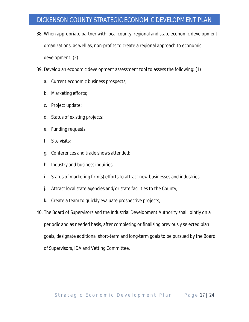- 38. When appropriate partner with local county, regional and state economic development organizations, as well as, non-profits to create a regional approach to economic development; (2)
- 39. Develop an economic development assessment tool to assess the following: (1)
	- a. Current economic business prospects;
	- b. Marketing efforts;
	- c. Project update;
	- d. Status of existing projects;
	- e. Funding requests;
	- f. Site visits;
	- g. Conferences and trade shows attended;
	- h. Industry and business inquiries;
	- i. Status of marketing firm(s) efforts to attract new businesses and industries;
	- j. Attract local state agencies and/or state facilities to the County;
	- k. Create a team to quickly evaluate prospective projects;
- 40. The Board of Supervisors and the Industrial Development Authority shall jointly on a periodic and as needed basis, after completing or finalizing previously selected plan goals, designate additional short-term and long-term goals to be pursued by the Board of Supervisors, IDA and Vetting Committee.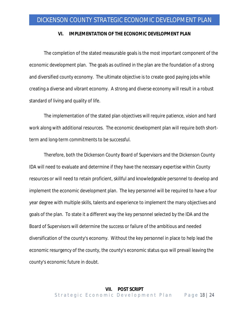#### **VI. IMPLEMENTATION OF THE ECONOMIC DEVELOPMENT PLAN**

The completion of the stated measurable goals is the most important component of the economic development plan. The goals as outlined in the plan are the foundation of a strong and diversified county economy. The ultimate objective is to create good paying jobs while creating a diverse and vibrant economy. A strong and diverse economy will result in a robust standard of living and quality of life.

The implementation of the stated plan objectives will require patience, vision and hard work along with additional resources. The economic development plan will require both shortterm and long-term commitments to be successful.

Therefore, both the Dickenson County Board of Supervisors and the Dickenson County IDA will need to evaluate and determine if they have the necessary expertise within County resources or will need to retain proficient, skillful and knowledgeable personnel to develop and implement the economic development plan. The key personnel will be required to have a four year degree with multiple skills, talents and experience to implement the many objectives and goals of the plan. To state it a different way the key personnel selected by the IDA and the Board of Supervisors will determine the success or failure of the ambitious and needed diversification of the county's economy. Without the key personnel in place to help lead the economic resurgency of the county, the county's economic status quo will prevail leaving the county's economic future in doubt.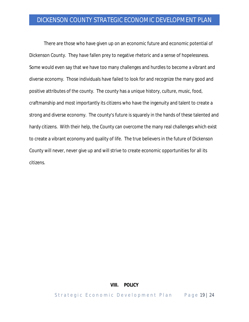There are those who have given up on an economic future and economic potential of Dickenson County. They have fallen prey to negative rhetoric and a sense of hopelessness. Some would even say that we have too many challenges and hurdles to become a vibrant and diverse economy. Those individuals have failed to look for and recognize the many good and positive attributes of the county. The county has a unique history, culture, music, food, craftmanship and most importantly its citizens who have the ingenuity and talent to create a strong and diverse economy. The county's future is squarely in the hands of these talented and hardy citizens. With their help, the County can overcome the many real challenges which exist to create a vibrant economy and quality of life. The true believers in the future of Dickenson County will never, never give up and will strive to create economic opportunities for all its citizens.

#### **VIII. POLICY**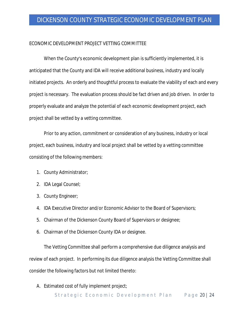#### ECONOMIC DEVELOPMENT PROJECT VETTING COMMITTEE

When the County's economic development plan is sufficiently implemented, it is anticipated that the County and IDA will receive additional business, industry and locally initiated projects. An orderly and thoughtful process to evaluate the viability of each and every project is necessary. The evaluation process should be fact driven and job driven. In order to properly evaluate and analyze the potential of each economic development project, each project shall be vetted by a vetting committee.

Prior to any action, commitment or consideration of any business, industry or local project, each business, industry and local project shall be vetted by a vetting committee consisting of the following members:

- 1. County Administrator;
- 2. IDA Legal Counsel;
- 3. County Engineer;
- 4. IDA Executive Director and/or Economic Advisor to the Board of Supervisors;
- 5. Chairman of the Dickenson County Board of Supervisors or designee;
- 6. Chairman of the Dickenson County IDA or designee.

The Vetting Committee shall perform a comprehensive due diligence analysis and review of each project. In performing its due diligence analysis the Vetting Committee shall consider the following factors but not limited thereto:

A. Estimated cost of fully implement project;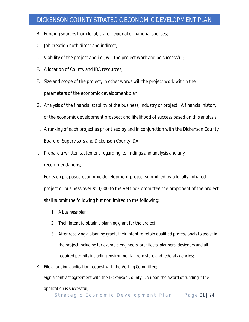- B. Funding sources from local, state, regional or national sources;
- C. Job creation both direct and indirect;
- D. Viability of the project and i.e., will the project work and be successful;
- E. Allocation of County and IDA resources;
- F. Size and scope of the project; in other words will the project work within the parameters of the economic development plan;
- G. Analysis of the financial stability of the business, industry or project. A financial history of the economic development prospect and likelihood of success based on this analysis;
- H. A ranking of each project as prioritized by and in conjunction with the Dickenson County Board of Supervisors and Dickenson County IDA;
- I. Prepare a written statement regarding its findings and analysis and any recommendations;
- J. For each proposed economic development project submitted by a locally initiated project or business over \$50,000 to the Vetting Committee the proponent of the project shall submit the following but not limited to the following:
	- 1. A business plan;
	- 2. Their intent to obtain a planning grant for the project;
	- 3. After receiving a planning grant, their intent to retain qualified professionals to assist in the project including for example engineers, architects, planners, designers and all required permits including environmental from state and federal agencies;
- K. File a funding application request with the Vetting Committee;
- L. Sign a contract agreement with the Dickenson County IDA upon the award of funding if the application is successful;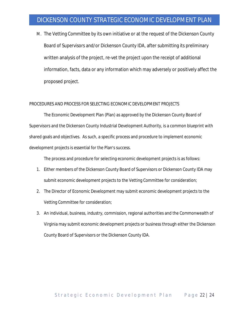M. The Vetting Committee by its own initiative or at the request of the Dickenson County Board of Supervisors and/or Dickenson County IDA, after submitting its preliminary written analysis of the project, re-vet the project upon the receipt of additional information, facts, data or any information which may adversely or positively affect the proposed project.

#### PROCEDURES AND PROCESS FOR SELECTING ECONOMIC DEVELOPMENT PROJECTS

The Economic Development Plan (Plan) as approved by the Dickenson County Board of Supervisors and the Dickenson County Industrial Development Authority, is a common blueprint with shared goals and objectives. As such, a specific process and procedure to implement economic development projects is essential for the Plan's success.

The process and procedure for selecting economic development projects is as follows:

- 1. Either members of the Dickenson County Board of Supervisors or Dickenson County IDA may submit economic development projects to the Vetting Committee for consideration;
- 2. The Director of Economic Development may submit economic development projects to the Vetting Committee for consideration;
- 3. An individual, business, industry, commission, regional authorities and the Commonwealth of Virginia may submit economic development projects or business through either the Dickenson County Board of Supervisors or the Dickenson County IDA.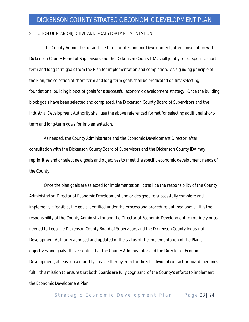#### SELECTION OF PLAN OBJECTIVE AND GOALS FOR IMPLEMENTATION

The County Administrator and the Director of Economic Development, after consultation with Dickenson County Board of Supervisors and the Dickenson County IDA, shall jointly select specific short term and long term goals from the Plan for implementation and completion. As a guiding principle of the Plan, the selection of short-term and long-term goals shall be predicated on first selecting foundational building blocks of goals for a successful economic development strategy. Once the building block goals have been selected and completed, the Dickenson County Board of Supervisors and the Industrial Development Authority shall use the above referenced format for selecting additional shortterm and long-term goals for implementation.

As needed, the County Administrator and the Economic Development Director, after consultation with the Dickenson County Board of Supervisors and the Dickenson County IDA may reprioritize and or select new goals and objectives to meet the specific economic development needs of the County.

Once the plan goals are selected for implementation, it shall be the responsibility of the County Administrator, Director of Economic Development and or designee to successfully complete and implement, if feasible, the goals identified under the process and procedure outlined above. It is the responsibility of the County Administrator and the Director of Economic Development to routinely or as needed to keep the Dickenson County Board of Supervisors and the Dickenson County Industrial Development Authority apprised and updated of the status of the implementation of the Plan's objectives and goals. It is essential that the County Administrator and the Director of Economic Development, at least on a monthly basis, either by email or direct individual contact or board meetings fulfill this mission to ensure that both Boards are fully cognizant of the County's efforts to implement the Economic Development Plan.